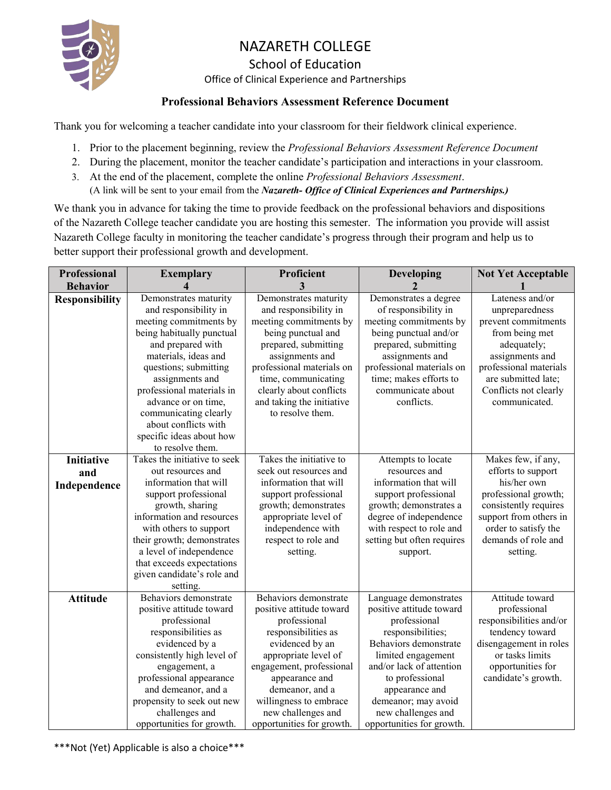

# NAZARETH COLLEGE

#### School of Education

Office of Clinical Experience and Partnerships

#### **Professional Behaviors Assessment Reference Document**

Thank you for welcoming a teacher candidate into your classroom for their fieldwork clinical experience.

- 1. Prior to the placement beginning, review the *Professional Behaviors Assessment Reference Document*
- 2. During the placement, monitor the teacher candidate's participation and interactions in your classroom.
- 3. At the end of the placement, complete the online *Professional Behaviors Assessment*. (A link will be sent to your email from the *Nazareth- Office of Clinical Experiences and Partnerships.)*

We thank you in advance for taking the time to provide feedback on the professional behaviors and dispositions of the Nazareth College teacher candidate you are hosting this semester. The information you provide will assist Nazareth College faculty in monitoring the teacher candidate's progress through their program and help us to better support their professional growth and development.

| <b>Professional</b>   | <b>Exemplary</b>                                                                                                     | Proficient                                                                                                             | Developing                                                                                                          | <b>Not Yet Acceptable</b>                                                                                |
|-----------------------|----------------------------------------------------------------------------------------------------------------------|------------------------------------------------------------------------------------------------------------------------|---------------------------------------------------------------------------------------------------------------------|----------------------------------------------------------------------------------------------------------|
| <b>Behavior</b>       |                                                                                                                      | 3                                                                                                                      |                                                                                                                     |                                                                                                          |
| <b>Responsibility</b> | Demonstrates maturity<br>and responsibility in<br>meeting commitments by<br>being habitually punctual                | Demonstrates maturity<br>and responsibility in<br>meeting commitments by<br>being punctual and                         | Demonstrates a degree<br>of responsibility in<br>meeting commitments by<br>being punctual and/or                    | Lateness and/or<br>unpreparedness<br>prevent commitments<br>from being met                               |
|                       | and prepared with<br>materials, ideas and<br>questions; submitting<br>assignments and<br>professional materials in   | prepared, submitting<br>assignments and<br>professional materials on<br>time, communicating<br>clearly about conflicts | prepared, submitting<br>assignments and<br>professional materials on<br>time; makes efforts to<br>communicate about | adequately;<br>assignments and<br>professional materials<br>are submitted late;<br>Conflicts not clearly |
|                       | advance or on time,<br>communicating clearly<br>about conflicts with<br>specific ideas about how<br>to resolve them. | and taking the initiative<br>to resolve them.                                                                          | conflicts.                                                                                                          | communicated.                                                                                            |
| <b>Initiative</b>     | Takes the initiative to seek                                                                                         | Takes the initiative to                                                                                                | Attempts to locate                                                                                                  | Makes few, if any,                                                                                       |
| and                   | out resources and                                                                                                    | seek out resources and                                                                                                 | resources and                                                                                                       | efforts to support                                                                                       |
| Independence          | information that will                                                                                                | information that will                                                                                                  | information that will                                                                                               | his/her own                                                                                              |
|                       | support professional                                                                                                 | support professional                                                                                                   | support professional                                                                                                | professional growth;                                                                                     |
|                       | growth, sharing                                                                                                      | growth; demonstrates                                                                                                   | growth; demonstrates a                                                                                              | consistently requires                                                                                    |
|                       | information and resources                                                                                            | appropriate level of                                                                                                   | degree of independence                                                                                              | support from others in                                                                                   |
|                       | with others to support                                                                                               | independence with                                                                                                      | with respect to role and                                                                                            | order to satisfy the                                                                                     |
|                       | their growth; demonstrates                                                                                           | respect to role and                                                                                                    | setting but often requires                                                                                          | demands of role and                                                                                      |
|                       | a level of independence                                                                                              | setting.                                                                                                               | support.                                                                                                            | setting.                                                                                                 |
|                       | that exceeds expectations                                                                                            |                                                                                                                        |                                                                                                                     |                                                                                                          |
|                       | given candidate's role and                                                                                           |                                                                                                                        |                                                                                                                     |                                                                                                          |
|                       | setting.<br>Behaviors demonstrate                                                                                    | Behaviors demonstrate                                                                                                  |                                                                                                                     | Attitude toward                                                                                          |
| <b>Attitude</b>       | positive attitude toward                                                                                             | positive attitude toward                                                                                               | Language demonstrates<br>positive attitude toward                                                                   | professional                                                                                             |
|                       | professional                                                                                                         | professional                                                                                                           | professional                                                                                                        | responsibilities and/or                                                                                  |
|                       | responsibilities as                                                                                                  | responsibilities as                                                                                                    | responsibilities;                                                                                                   | tendency toward                                                                                          |
|                       | evidenced by a                                                                                                       | evidenced by an                                                                                                        | Behaviors demonstrate                                                                                               | disengagement in roles                                                                                   |
|                       | consistently high level of                                                                                           | appropriate level of                                                                                                   | limited engagement                                                                                                  | or tasks limits                                                                                          |
|                       | engagement, a                                                                                                        | engagement, professional                                                                                               | and/or lack of attention                                                                                            | opportunities for                                                                                        |
|                       | professional appearance                                                                                              | appearance and                                                                                                         | to professional                                                                                                     | candidate's growth.                                                                                      |
|                       | and demeanor, and a                                                                                                  | demeanor, and a                                                                                                        | appearance and                                                                                                      |                                                                                                          |
|                       | propensity to seek out new                                                                                           | willingness to embrace                                                                                                 | demeanor; may avoid                                                                                                 |                                                                                                          |
|                       | challenges and                                                                                                       | new challenges and                                                                                                     | new challenges and                                                                                                  |                                                                                                          |
|                       | opportunities for growth.                                                                                            | opportunities for growth.                                                                                              | opportunities for growth.                                                                                           |                                                                                                          |

\*\*\*Not (Yet) Applicable is also a choice\*\*\*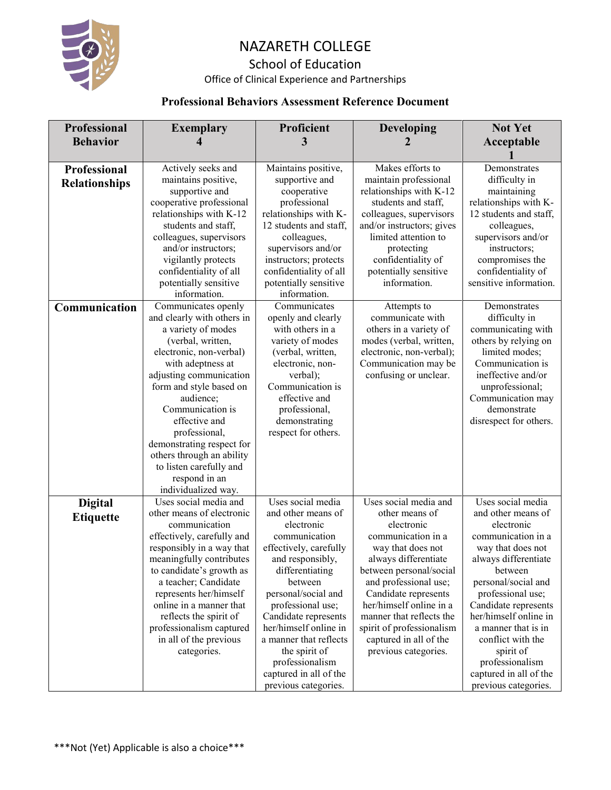

# NAZARETH COLLEGE

## School of Education

Office of Clinical Experience and Partnerships

### **Professional Behaviors Assessment Reference Document**

| <b>Professional</b>  | <b>Exemplary</b>                                 | Proficient                            | <b>Developing</b>                                   | <b>Not Yet</b>                     |
|----------------------|--------------------------------------------------|---------------------------------------|-----------------------------------------------------|------------------------------------|
| <b>Behavior</b>      | 4                                                | 3                                     |                                                     | Acceptable                         |
|                      |                                                  |                                       |                                                     |                                    |
| Professional         | Actively seeks and                               | Maintains positive,                   | Makes efforts to                                    | Demonstrates                       |
| <b>Relationships</b> | maintains positive,                              | supportive and                        | maintain professional                               | difficulty in                      |
|                      | supportive and                                   | cooperative                           | relationships with K-12                             | maintaining                        |
|                      | cooperative professional                         | professional                          | students and staff,                                 | relationships with K-              |
|                      | relationships with K-12                          | relationships with K-                 | colleagues, supervisors                             | 12 students and staff,             |
|                      | students and staff,                              | 12 students and staff,                | and/or instructors; gives                           | colleagues,                        |
|                      | colleagues, supervisors                          | colleagues,                           | limited attention to                                | supervisors and/or                 |
|                      | and/or instructors;                              | supervisors and/or                    | protecting                                          | instructors;                       |
|                      | vigilantly protects                              | instructors; protects                 | confidentiality of                                  | compromises the                    |
|                      | confidentiality of all                           | confidentiality of all                | potentially sensitive                               | confidentiality of                 |
|                      | potentially sensitive                            | potentially sensitive                 | information.                                        | sensitive information.             |
|                      | information.                                     | information.                          |                                                     |                                    |
| Communication        | Communicates openly                              | Communicates                          | Attempts to                                         | Demonstrates                       |
|                      | and clearly with others in                       | openly and clearly                    | communicate with                                    | difficulty in                      |
|                      | a variety of modes                               | with others in a                      | others in a variety of                              | communicating with                 |
|                      | (verbal, written,                                | variety of modes                      | modes (verbal, written,<br>electronic, non-verbal); | others by relying on               |
|                      | electronic, non-verbal)                          | (verbal, written,<br>electronic, non- | Communication may be                                | limited modes;<br>Communication is |
|                      | with adeptness at<br>adjusting communication     | verbal);                              | confusing or unclear.                               | ineffective and/or                 |
|                      | form and style based on                          | Communication is                      |                                                     | unprofessional;                    |
|                      | audience;                                        | effective and                         |                                                     | Communication may                  |
|                      | Communication is                                 | professional,                         |                                                     | demonstrate                        |
|                      | effective and                                    | demonstrating                         |                                                     | disrespect for others.             |
|                      | professional,                                    | respect for others.                   |                                                     |                                    |
|                      | demonstrating respect for                        |                                       |                                                     |                                    |
|                      | others through an ability                        |                                       |                                                     |                                    |
|                      | to listen carefully and                          |                                       |                                                     |                                    |
|                      | respond in an                                    |                                       |                                                     |                                    |
|                      | individualized way.                              |                                       |                                                     |                                    |
| <b>Digital</b>       | Uses social media and                            | Uses social media                     | Uses social media and                               | Uses social media                  |
| <b>Etiquette</b>     | other means of electronic                        | and other means of                    | other means of                                      | and other means of                 |
|                      | communication                                    | electronic                            | electronic                                          | electronic                         |
|                      | effectively, carefully and                       | communication                         | communication in a                                  | communication in a                 |
|                      | responsibly in a way that                        | effectively, carefully                | way that does not                                   | way that does not                  |
|                      | meaningfully contributes                         | and responsibly,<br>differentiating   | always differentiate                                | always differentiate<br>between    |
|                      | to candidate's growth as<br>a teacher; Candidate | between                               | between personal/social<br>and professional use;    | personal/social and                |
|                      | represents her/himself                           | personal/social and                   | Candidate represents                                | professional use;                  |
|                      | online in a manner that                          | professional use;                     | her/himself online in a                             | Candidate represents               |
|                      | reflects the spirit of                           | Candidate represents                  | manner that reflects the                            | her/himself online in              |
|                      | professionalism captured                         | her/himself online in                 | spirit of professionalism                           | a manner that is in                |
|                      | in all of the previous                           | a manner that reflects                | captured in all of the                              | conflict with the                  |
|                      | categories.                                      | the spirit of                         | previous categories.                                | spirit of                          |
|                      |                                                  | professionalism                       |                                                     | professionalism                    |
|                      |                                                  | captured in all of the                |                                                     | captured in all of the             |
|                      |                                                  | previous categories.                  |                                                     | previous categories.               |